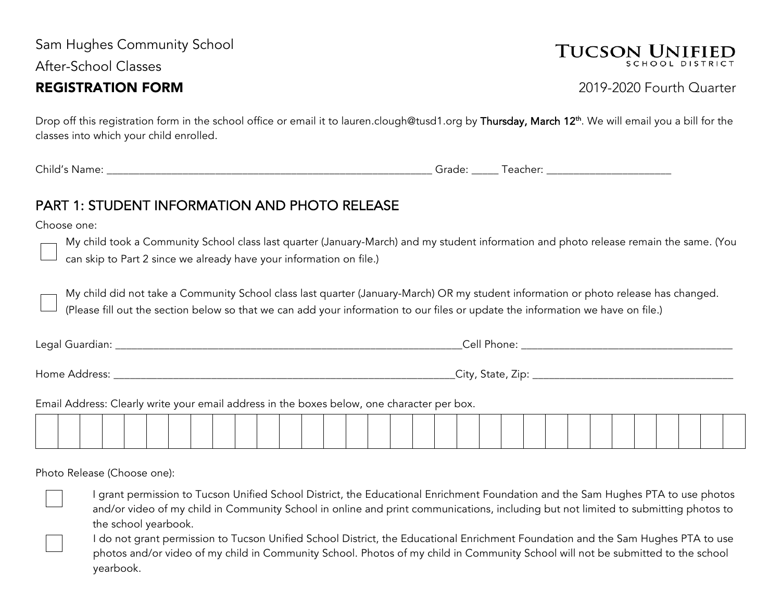| Sam Hughes Community School                                                                                                     | <b>TUCSON UNIFIED</b>                                                                                                                                              |
|---------------------------------------------------------------------------------------------------------------------------------|--------------------------------------------------------------------------------------------------------------------------------------------------------------------|
| <b>After-School Classes</b>                                                                                                     |                                                                                                                                                                    |
| <b>REGISTRATION FORM</b>                                                                                                        | 2019-2020 Fourth Quarter                                                                                                                                           |
| classes into which your child enrolled.                                                                                         | Drop off this registration form in the school office or email it to lauren.clough@tusd1.org by Thursday, March 12 <sup>th</sup> . We will email you a bill for the |
|                                                                                                                                 |                                                                                                                                                                    |
| <b>PART 1: STUDENT INFORMATION AND PHOTO RELEASE</b>                                                                            |                                                                                                                                                                    |
| Choose one:                                                                                                                     |                                                                                                                                                                    |
| can skip to Part 2 since we already have your information on file.)                                                             | My child took a Community School class last quarter (January-March) and my student information and photo release remain the same. (You                             |
| (Please fill out the section below so that we can add your information to our files or update the information we have on file.) | My child did not take a Community School class last quarter (January-March) OR my student information or photo release has changed.                                |
|                                                                                                                                 |                                                                                                                                                                    |
|                                                                                                                                 |                                                                                                                                                                    |
| Email Address: Clearly write your email address in the boxes below, one character per box.                                      |                                                                                                                                                                    |
|                                                                                                                                 |                                                                                                                                                                    |
| Photo Release (Choose one):                                                                                                     |                                                                                                                                                                    |

I grant permission to Tucson Unified School District, the Educational Enrichment Foundation and the Sam Hughes PTA to use photos and/or video of my child in Community School in online and print communications, including but not limited to submitting photos to the school yearbook.

I do not grant permission to Tucson Unified School District, the Educational Enrichment Foundation and the Sam Hughes PTA to use photos and/or video of my child in Community School. Photos of my child in Community School will not be submitted to the school yearbook.